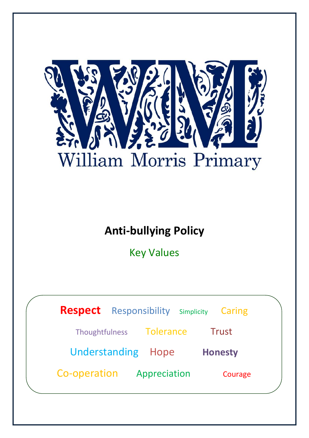

# **Anti-bullying Policy**

Key Values

|                           | <b>Respect</b> Responsibility Simplicity |              |  |                | Caring |  |
|---------------------------|------------------------------------------|--------------|--|----------------|--------|--|
|                           | Thoughtfulness Tolerance                 |              |  |                | Trust  |  |
| <b>Understanding Hope</b> |                                          |              |  | <b>Honesty</b> |        |  |
| Co-operation              |                                          | Appreciation |  | Courage        |        |  |
|                           |                                          |              |  |                |        |  |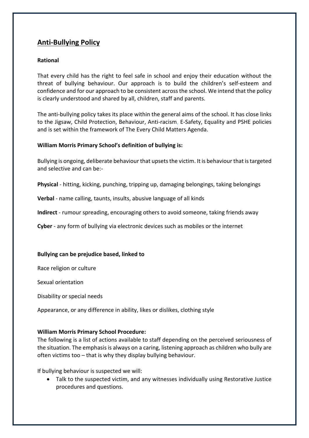# **Anti-Bullying Policy**

## **Rational**

That every child has the right to feel safe in school and enjoy their education without the threat of bullying behaviour. Our approach is to build the children's self-esteem and confidence and for our approach to be consistent across the school. We intend that the policy is clearly understood and shared by all, children, staff and parents.

The anti-bullying policy takes its place within the general aims of the school. It has close links to the Jigsaw, Child Protection, Behaviour, Anti-racism, E-Safety, Equality and PSHE policies and is set within the framework of The Every Child Matters Agenda.

#### **William Morris Primary School's definition of bullying is:**

Bullying is ongoing, deliberate behaviour that upsets the victim. It is behaviour that is targeted and selective and can be:-

**Physical** - hitting, kicking, punching, tripping up, damaging belongings, taking belongings

**Verbal** - name calling, taunts, insults, abusive language of all kinds

**Indirect** - rumour spreading, encouraging others to avoid someone, taking friends away

**Cyber** - any form of bullying via electronic devices such as mobiles or the internet

#### **Bullying can be prejudice based, linked to**

Race religion or culture

Sexual orientation

Disability or special needs

Appearance, or any difference in ability, likes or dislikes, clothing style

## **William Morris Primary School Procedure:**

The following is a list of actions available to staff depending on the perceived seriousness of the situation. The emphasis is always on a caring, listening approach as children who bully are often victims too – that is why they display bullying behaviour.

If bullying behaviour is suspected we will:

 Talk to the suspected victim, and any witnesses individually using Restorative Justice procedures and questions.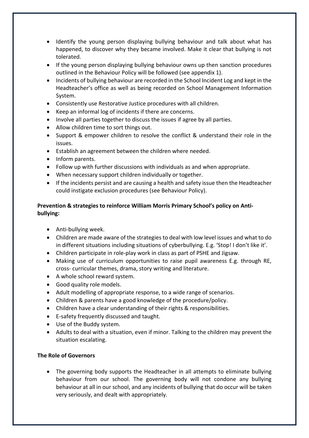- Identify the young person displaying bullying behaviour and talk about what has happened, to discover why they became involved. Make it clear that bullying is not tolerated.
- If the young person displaying bullying behaviour owns up then sanction procedures outlined in the Behaviour Policy will be followed (see appendix 1).
- Incidents of bullying behaviour are recorded in the School Incident Log and kept in the Headteacher's office as well as being recorded on School Management Information System.
- Consistently use Restorative Justice procedures with all children.
- Keep an informal log of incidents if there are concerns.
- Involve all parties together to discuss the issues if agree by all parties.
- Allow children time to sort things out.
- Support & empower children to resolve the conflict & understand their role in the issues.
- Establish an agreement between the children where needed.
- Inform parents.
- Follow up with further discussions with individuals as and when appropriate.
- When necessary support children individually or together.
- If the incidents persist and are causing a health and safety issue then the Headteacher could instigate exclusion procedures (see Behaviour Policy).

# **Prevention & strategies to reinforce William Morris Primary School's policy on Antibullying:**

- Anti-bullying week.
- Children are made aware of the strategies to deal with low level issues and what to do in different situations including situations of cyberbullying. E.g. 'Stop! I don't like it'.
- Children participate in role-play work in class as part of PSHE and Jigsaw.
- Making use of curriculum opportunities to raise pupil awareness E.g. through RE, cross- curricular themes, drama, story writing and literature.
- A whole school reward system.
- Good quality role models.
- Adult modelling of appropriate response, to a wide range of scenarios.
- Children & parents have a good knowledge of the procedure/policy.
- Children have a clear understanding of their rights & responsibilities.
- E-safety frequently discussed and taught.
- Use of the Buddy system.
- Adults to deal with a situation, even if minor. Talking to the children may prevent the situation escalating.

## **The Role of Governors**

 The governing body supports the Headteacher in all attempts to eliminate bullying behaviour from our school. The governing body will not condone any bullying behaviour at all in our school, and any incidents of bullying that do occur will be taken very seriously, and dealt with appropriately.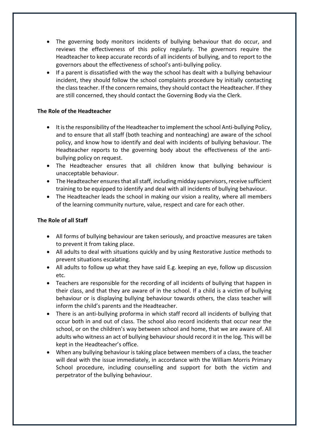- The governing body monitors incidents of bullying behaviour that do occur, and reviews the effectiveness of this policy regularly. The governors require the Headteacher to keep accurate records of all incidents of bullying, and to report to the governors about the effectiveness of school's anti-bullying policy.
- If a parent is dissatisfied with the way the school has dealt with a bullying behaviour incident, they should follow the school complaints procedure by initially contacting the class teacher. If the concern remains, they should contact the Headteacher. If they are still concerned, they should contact the Governing Body via the Clerk.

#### **The Role of the Headteacher**

- It is the responsibility of the Headteacher to implement the school Anti-bullying Policy, and to ensure that all staff (both teaching and nonteaching) are aware of the school policy, and know how to identify and deal with incidents of bullying behaviour. The Headteacher reports to the governing body about the effectiveness of the antibullying policy on request.
- The Headteacher ensures that all children know that bullying behaviour is unacceptable behaviour.
- The Headteacher ensures that all staff, including midday supervisors, receive sufficient training to be equipped to identify and deal with all incidents of bullying behaviour.
- The Headteacher leads the school in making our vision a reality, where all members of the learning community nurture, value, respect and care for each other.

## **The Role of all Staff**

- All forms of bullying behaviour are taken seriously, and proactive measures are taken to prevent it from taking place.
- All adults to deal with situations quickly and by using Restorative Justice methods to prevent situations escalating.
- All adults to follow up what they have said E.g. keeping an eye, follow up discussion etc.
- Teachers are responsible for the recording of all incidents of bullying that happen in their class, and that they are aware of in the school. If a child is a victim of bullying behaviour or is displaying bullying behaviour towards others, the class teacher will inform the child's parents and the Headteacher.
- There is an anti-bullying proforma in which staff record all incidents of bullying that occur both in and out of class. The school also record incidents that occur near the school, or on the children's way between school and home, that we are aware of. All adults who witness an act of bullying behaviour should record it in the log. This will be kept in the Headteacher's office.
- When any bullying behaviour is taking place between members of a class, the teacher will deal with the issue immediately, in accordance with the William Morris Primary School procedure, including counselling and support for both the victim and perpetrator of the bullying behaviour.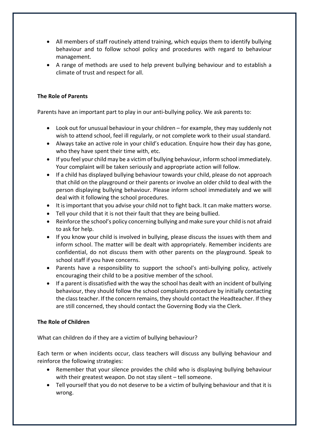- All members of staff routinely attend training, which equips them to identify bullying behaviour and to follow school policy and procedures with regard to behaviour management.
- A range of methods are used to help prevent bullying behaviour and to establish a climate of trust and respect for all.

# **The Role of Parents**

Parents have an important part to play in our anti-bullying policy. We ask parents to:

- Look out for unusual behaviour in your children for example, they may suddenly not wish to attend school, feel ill regularly, or not complete work to their usual standard.
- Always take an active role in your child's education. Enquire how their day has gone, who they have spent their time with, etc.
- If you feel your child may be a victim of bullying behaviour, inform school immediately. Your complaint will be taken seriously and appropriate action will follow.
- If a child has displayed bullying behaviour towards your child, please do not approach that child on the playground or their parents or involve an older child to deal with the person displaying bullying behaviour. Please inform school immediately and we will deal with it following the school procedures.
- It is important that you advise your child not to fight back. It can make matters worse.
- Tell your child that it is not their fault that they are being bullied.
- Reinforce the school's policy concerning bullying and make sure your child is not afraid to ask for help.
- If you know your child is involved in bullying, please discuss the issues with them and inform school. The matter will be dealt with appropriately. Remember incidents are confidential, do not discuss them with other parents on the playground. Speak to school staff if you have concerns.
- Parents have a responsibility to support the school's anti-bullying policy, actively encouraging their child to be a positive member of the school.
- If a parent is dissatisfied with the way the school has dealt with an incident of bullying behaviour, they should follow the school complaints procedure by initially contacting the class teacher. If the concern remains, they should contact the Headteacher. If they are still concerned, they should contact the Governing Body via the Clerk.

## **The Role of Children**

What can children do if they are a victim of bullying behaviour?

Each term or when incidents occur, class teachers will discuss any bullying behaviour and reinforce the following strategies:

- Remember that your silence provides the child who is displaying bullying behaviour with their greatest weapon. Do not stay silent – tell someone.
- Tell yourself that you do not deserve to be a victim of bullying behaviour and that it is wrong.